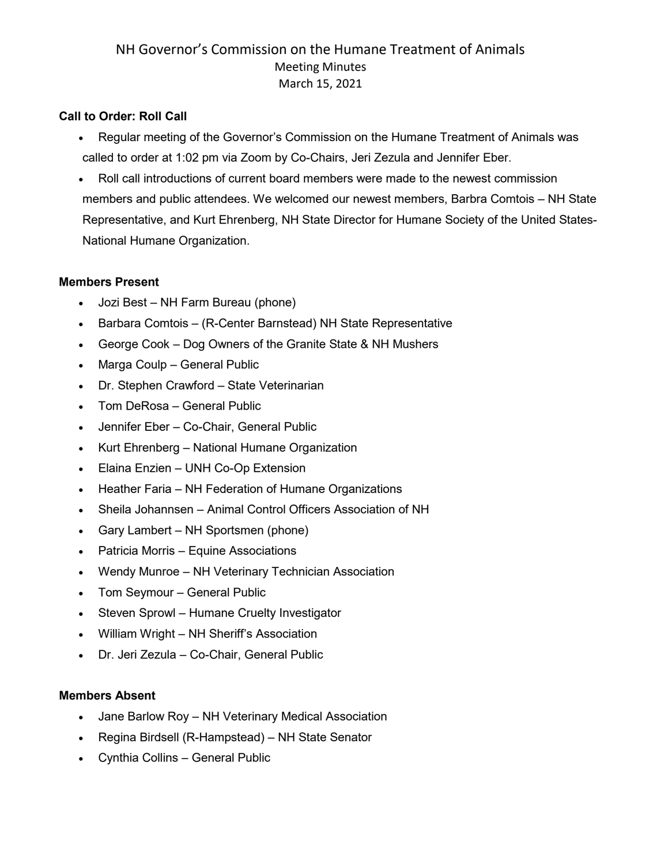## **Call to Order: Roll Call**

- Regular meeting of the Governor's Commission on the Humane Treatment of Animals was called to order at 1:02 pm via Zoom by Co-Chairs, Jeri Zezula and Jennifer Eber.
- Roll call introductions of current board members were made to the newest commission members and public attendees. We welcomed our newest members, Barbra Comtois – NH State Representative, and Kurt Ehrenberg, NH State Director for Humane Society of the United States-National Humane Organization.

### **Members Present**

- Jozi Best NH Farm Bureau (phone)
- Barbara Comtois (R-Center Barnstead) NH State Representative
- George Cook Dog Owners of the Granite State & NH Mushers
- Marga Coulp General Public
- Dr. Stephen Crawford State Veterinarian
- Tom DeRosa General Public
- Jennifer Eber Co-Chair, General Public
- Kurt Ehrenberg National Humane Organization
- Elaina Enzien UNH Co-Op Extension
- Heather Faria NH Federation of Humane Organizations
- Sheila Johannsen Animal Control Officers Association of NH
- Gary Lambert NH Sportsmen (phone)
- Patricia Morris Equine Associations
- Wendy Munroe NH Veterinary Technician Association
- Tom Seymour General Public
- Steven Sprowl Humane Cruelty Investigator
- William Wright NH Sheriff's Association
- Dr. Jeri Zezula Co-Chair, General Public

### **Members Absent**

- Jane Barlow Roy NH Veterinary Medical Association
- Regina Birdsell (R-Hampstead) NH State Senator
- Cynthia Collins General Public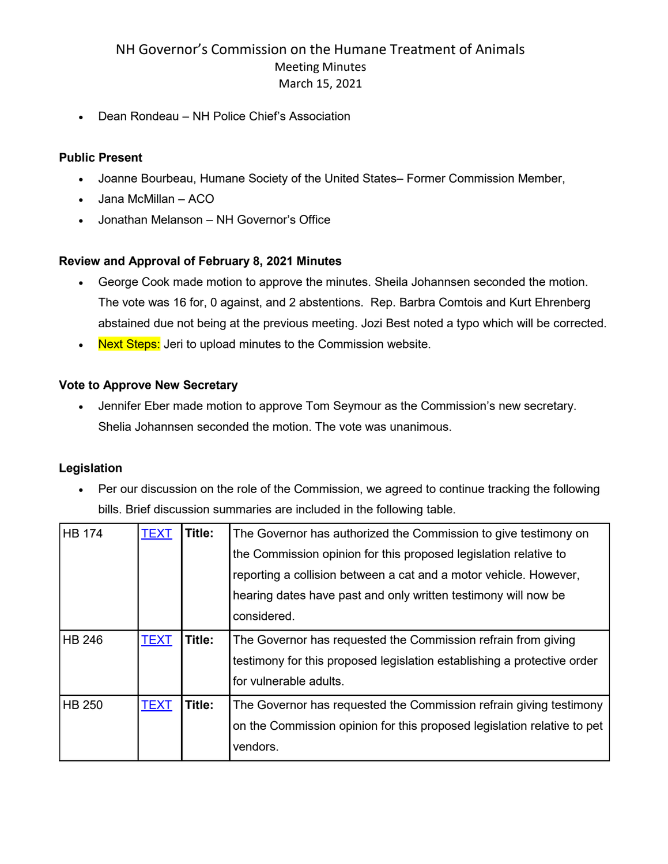• Dean Rondeau – NH Police Chief's Association

## **Public Present**

- Joanne Bourbeau, Humane Society of the United States– Former Commission Member,
- Jana McMillan ACO
- Jonathan Melanson NH Governor's Office

## **Review and Approval of February 8, 2021 Minutes**

- George Cook made motion to approve the minutes. Sheila Johannsen seconded the motion. The vote was 16 for, 0 against, and 2 abstentions. Rep. Barbra Comtois and Kurt Ehrenberg abstained due not being at the previous meeting. Jozi Best noted a typo which will be corrected.
- Next Steps: Jeri to upload minutes to the Commission website.

## **Vote to Approve New Secretary**

• Jennifer Eber made motion to approve Tom Seymour as the Commission's new secretary. Shelia Johannsen seconded the motion. The vote was unanimous.

### **Legislation**

• Per our discussion on the role of the Commission, we agreed to continue tracking the following bills. Brief discussion summaries are included in the following table.

| <b>HB 174</b> | <b>TEXT</b> | Title: | The Governor has authorized the Commission to give testimony on         |
|---------------|-------------|--------|-------------------------------------------------------------------------|
|               |             |        | the Commission opinion for this proposed legislation relative to        |
|               |             |        | reporting a collision between a cat and a motor vehicle. However,       |
|               |             |        | hearing dates have past and only written testimony will now be          |
|               |             |        | considered.                                                             |
| <b>HB 246</b> | <b>TEXT</b> | Title: | The Governor has requested the Commission refrain from giving           |
|               |             |        | testimony for this proposed legislation establishing a protective order |
|               |             |        | for vulnerable adults.                                                  |
| <b>HB 250</b> | <b>TEXT</b> | Title: | The Governor has requested the Commission refrain giving testimony      |
|               |             |        | on the Commission opinion for this proposed legislation relative to pet |
|               |             |        | vendors.                                                                |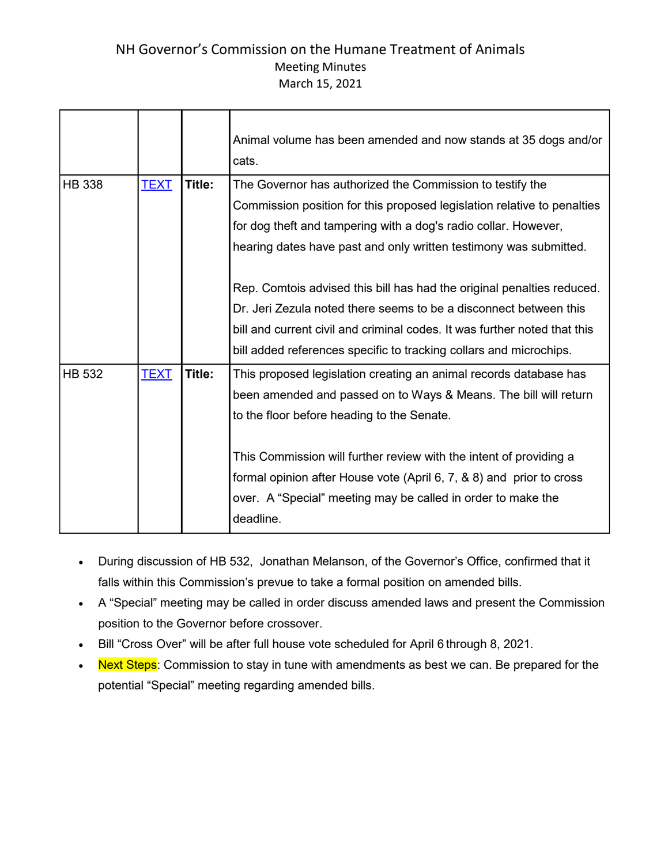|               |             |        | Animal volume has been amended and now stands at 35 dogs and/or<br>cats.                                                                                                                                                                                                                       |
|---------------|-------------|--------|------------------------------------------------------------------------------------------------------------------------------------------------------------------------------------------------------------------------------------------------------------------------------------------------|
| <b>HB 338</b> | <b>TEXT</b> | Title: | The Governor has authorized the Commission to testify the<br>Commission position for this proposed legislation relative to penalties<br>for dog theft and tampering with a dog's radio collar. However,<br>hearing dates have past and only written testimony was submitted.                   |
|               |             |        | Rep. Comtois advised this bill has had the original penalties reduced.<br>Dr. Jeri Zezula noted there seems to be a disconnect between this<br>bill and current civil and criminal codes. It was further noted that this<br>bill added references specific to tracking collars and microchips. |
| <b>HB 532</b> | <b>TEXT</b> | Title: | This proposed legislation creating an animal records database has<br>been amended and passed on to Ways & Means. The bill will return<br>to the floor before heading to the Senate.                                                                                                            |
|               |             |        | This Commission will further review with the intent of providing a<br>formal opinion after House vote (April 6, 7, & 8) and prior to cross<br>over. A "Special" meeting may be called in order to make the<br>deadline.                                                                        |

- During discussion of HB 532, Jonathan Melanson, of the Governor's Office, confirmed that it falls within this Commission's prevue to take a formal position on amended bills.
- A "Special" meeting may be called in order discuss amended laws and present the Commission position to the Governor before crossover.
- Bill "Cross Over" will be after full house vote scheduled for April 6 through 8, 2021.
- Next Steps: Commission to stay in tune with amendments as best we can. Be prepared for the potential "Special" meeting regarding amended bills.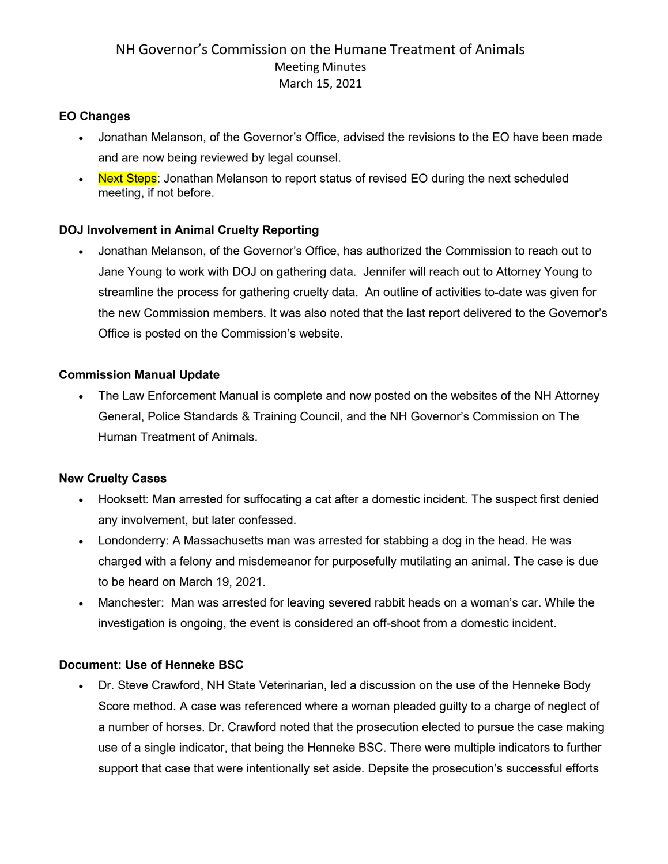## **EO Changes**

- Jonathan Melanson, of the Governor's Office, advised the revisions to the EO have been made and are now being reviewed by legal counsel.
- Next Steps: Jonathan Melanson to report status of revised EO during the next scheduled meeting, if not before.

## **DOJ Involvement in Animal Cruelty Reporting**

• Jonathan Melanson, of the Governor's Office, has authorized the Commission to reach out to Jane Young to work with DOJ on gathering data. Jennifer will reach out to Attorney Young to streamline the process for gathering cruelty data. An outline of activities to-date was given for the new Commission members. It was also noted that the last report delivered to the Governor's Office is posted on the Commission's website.

### **Commission Manual Update**

• The Law Enforcement Manual is complete and now posted on the websites of the NH Attorney General, Police Standards & Training Council, and the NH Governor's Commission on The Human Treatment of Animals.

### **New Cruelty Cases**

- Hooksett: Man arrested for suffocating a cat after a domestic incident. The suspect first denied any involvement, but later confessed.
- Londonderry: A Massachusetts man was arrested for stabbing a dog in the head. He was charged with a felony and misdemeanor for purposefully mutilating an animal. The case is due to be heard on March 19, 2021.
- Manchester: Man was arrested for leaving severed rabbit heads on a woman's car. While the investigation is ongoing, the event is considered an off-shoot from a domestic incident.

### **Document: Use of Henneke BSC**

• Dr. Steve Crawford, NH State Veterinarian, led a discussion on the use of the Henneke Body Score method. A case was referenced where a woman pleaded guilty to a charge of neglect of a number of horses. Dr. Crawford noted that the prosecution elected to pursue the case making use of a single indicator, that being the Henneke BSC. There were multiple indicators to further support that case that were intentionally set aside. Depsite the prosecution's successful efforts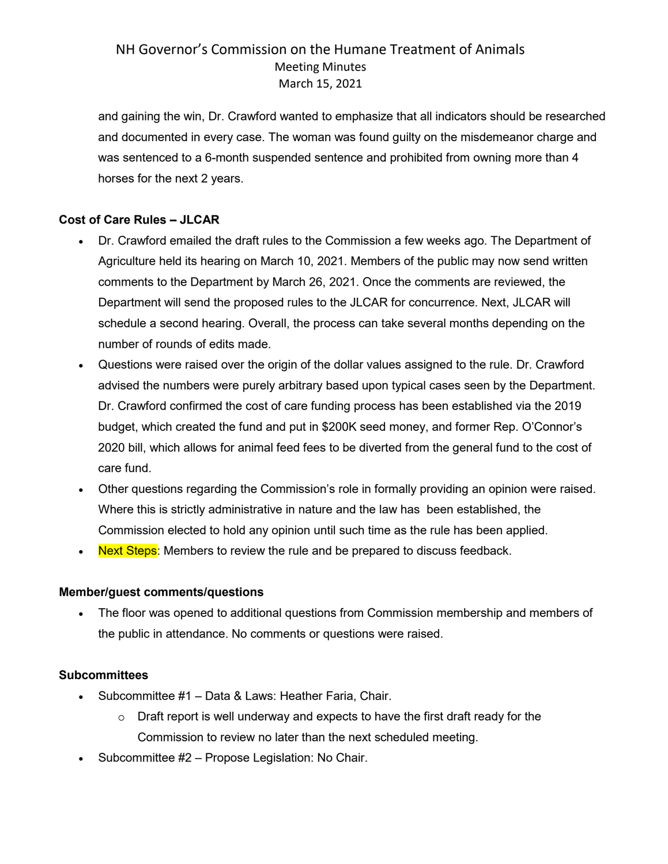and gaining the win, Dr. Crawford wanted to emphasize that all indicators should be researched and documented in every case. The woman was found guilty on the misdemeanor charge and was sentenced to a 6-month suspended sentence and prohibited from owning more than 4 horses for the next 2 years.

## **Cost of Care Rules – JLCAR**

- Dr. Crawford emailed the draft rules to the Commission a few weeks ago. The Department of Agriculture held its hearing on March 10, 2021. Members of the public may now send written comments to the Department by March 26, 2021. Once the comments are reviewed, the Department will send the proposed rules to the JLCAR for concurrence. Next, JLCAR will schedule a second hearing. Overall, the process can take several months depending on the number of rounds of edits made.
- Questions were raised over the origin of the dollar values assigned to the rule. Dr. Crawford advised the numbers were purely arbitrary based upon typical cases seen by the Department. Dr. Crawford confirmed the cost of care funding process has been established via the 2019 budget, which created the fund and put in \$200K seed money, and former Rep. O'Connor's 2020 bill, which allows for animal feed fees to be diverted from the general fund to the cost of care fund.
- Other questions regarding the Commission's role in formally providing an opinion were raised. Where this is strictly administrative in nature and the law has been established, the Commission elected to hold any opinion until such time as the rule has been applied.
- Next Steps: Members to review the rule and be prepared to discuss feedback.

### **Member/guest comments/questions**

• The floor was opened to additional questions from Commission membership and members of the public in attendance. No comments or questions were raised.

### **Subcommittees**

- Subcommittee #1 Data & Laws: Heather Faria, Chair.
	- $\circ$  Draft report is well underway and expects to have the first draft ready for the Commission to review no later than the next scheduled meeting.
- Subcommittee #2 Propose Legislation: No Chair.